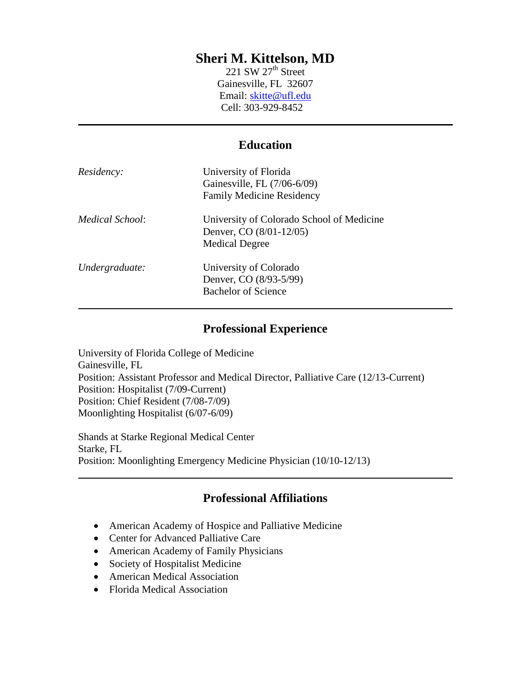# **Sheri M. Kittelson, MD**

221 SW  $27<sup>th</sup>$  Street Gainesville, FL 32607 Email: [skitte@ufl.edu](mailto:skitte@ufl.edu) Cell: 303-929-8452

#### **Education**

| Residency:      | University of Florida<br>Gainesville, FL (7/06-6/09)<br><b>Family Medicine Residency</b>      |
|-----------------|-----------------------------------------------------------------------------------------------|
| Medical School: | University of Colorado School of Medicine<br>Denver, CO (8/01-12/05)<br><b>Medical Degree</b> |
| Undergraduate:  | University of Colorado<br>Denver, CO (8/93-5/99)<br><b>Bachelor of Science</b>                |

#### **Professional Experience**

University of Florida College of Medicine Gainesville, FL Position: Assistant Professor and Medical Director, Palliative Care (12/13-Current) Position: Hospitalist (7/09-Current) Position: Chief Resident (7/08-7/09) Moonlighting Hospitalist (6/07-6/09)

Shands at Starke Regional Medical Center Starke, FL Position: Moonlighting Emergency Medicine Physician (10/10-12/13)

# **Professional Affiliations**

- American Academy of Hospice and Palliative Medicine
- Center for Advanced Palliative Care
- American Academy of Family Physicians
- Society of Hospitalist Medicine
- American Medical Association
- Florida Medical Association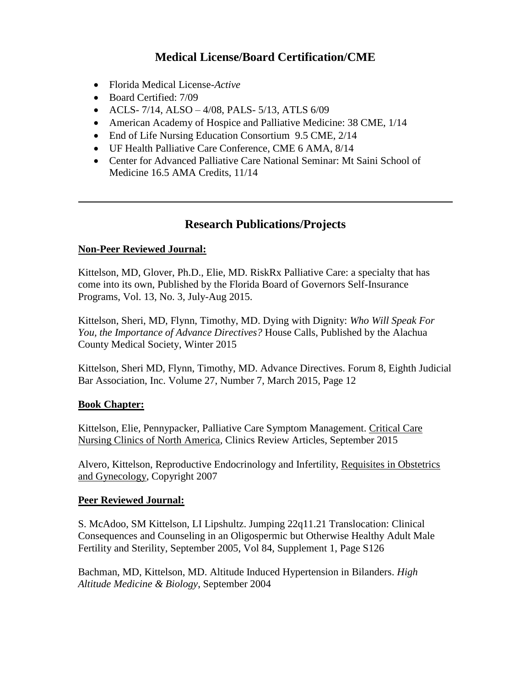# **Medical License/Board Certification/CME**

- Florida Medical License-*Active*
- Board Certified: 7/09
- ACLS-  $7/14$ , ALSO  $-4/08$ , PALS-  $5/13$ , ATLS  $6/09$
- American Academy of Hospice and Palliative Medicine: 38 CME, 1/14
- End of Life Nursing Education Consortium 9.5 CME, 2/14
- UF Health Palliative Care Conference, CME 6 AMA, 8/14
- Center for Advanced Palliative Care National Seminar: Mt Saini School of Medicine 16.5 AMA Credits, 11/14

# **Research Publications/Projects**

#### **Non-Peer Reviewed Journal:**

Kittelson, MD, Glover, Ph.D., Elie, MD. RiskRx Palliative Care: a specialty that has come into its own, Published by the Florida Board of Governors Self-Insurance Programs, Vol. 13, No. 3, July-Aug 2015.

Kittelson, Sheri, MD, Flynn, Timothy, MD. Dying with Dignity: *Who Will Speak For You, the Importance of Advance Directives?* House Calls, Published by the Alachua County Medical Society, Winter 2015

Kittelson, Sheri MD, Flynn, Timothy, MD. Advance Directives. Forum 8, Eighth Judicial Bar Association, Inc. Volume 27, Number 7, March 2015, Page 12

#### **Book Chapter:**

Kittelson, Elie, Pennypacker, Palliative Care Symptom Management. Critical Care Nursing Clinics of North America, Clinics Review Articles, September 2015

Alvero, Kittelson, Reproductive Endocrinology and Infertility, Requisites in Obstetrics and Gynecology, Copyright 2007

#### **Peer Reviewed Journal:**

S. McAdoo, SM Kittelson, LI Lipshultz. Jumping 22q11.21 Translocation: Clinical Consequences and Counseling in an Oligospermic but Otherwise Healthy Adult Male Fertility and Sterility, September 2005, Vol 84, Supplement 1, Page S126

Bachman, MD, Kittelson, MD. Altitude Induced Hypertension in Bilanders. *High Altitude Medicine & Biology*, September 2004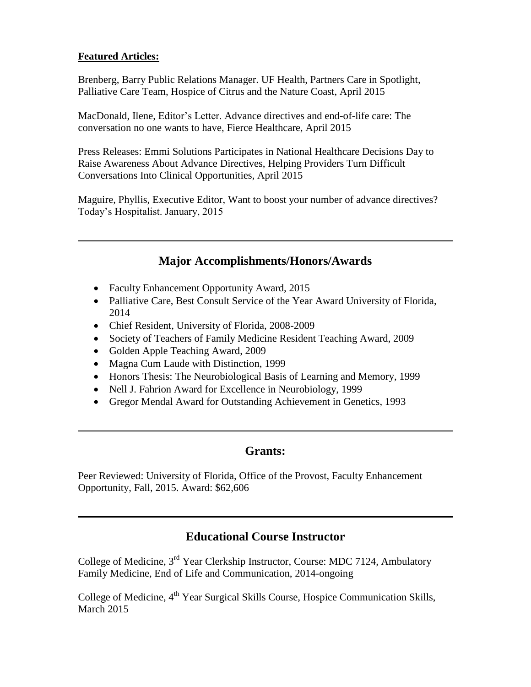#### **Featured Articles:**

Brenberg, Barry Public Relations Manager. UF Health, Partners Care in Spotlight, Palliative Care Team, Hospice of Citrus and the Nature Coast, April 2015

MacDonald, Ilene, Editor's Letter. Advance directives and end-of-life care: The conversation no one wants to have, Fierce Healthcare, April 2015

Press Releases: Emmi Solutions Participates in National Healthcare Decisions Day to Raise Awareness About Advance Directives, Helping Providers Turn Difficult Conversations Into Clinical Opportunities, April 2015

Maguire, Phyllis, Executive Editor, Want to boost your number of advance directives? Today's Hospitalist. January, 2015

# **Major Accomplishments/Honors/Awards**

- Faculty Enhancement Opportunity Award, 2015
- Palliative Care, Best Consult Service of the Year Award University of Florida, 2014
- Chief Resident, University of Florida, 2008-2009
- Society of Teachers of Family Medicine Resident Teaching Award, 2009
- Golden Apple Teaching Award, 2009
- Magna Cum Laude with Distinction, 1999
- Honors Thesis: The Neurobiological Basis of Learning and Memory, 1999
- Nell J. Fahrion Award for Excellence in Neurobiology, 1999
- Gregor Mendal Award for Outstanding Achievement in Genetics, 1993

# **Grants:**

Peer Reviewed: University of Florida, Office of the Provost, Faculty Enhancement Opportunity, Fall, 2015. Award: \$62,606

# **Educational Course Instructor**

College of Medicine, 3<sup>rd</sup> Year Clerkship Instructor, Course: MDC 7124, Ambulatory Family Medicine, End of Life and Communication, 2014-ongoing

College of Medicine, 4<sup>th</sup> Year Surgical Skills Course, Hospice Communication Skills, March 2015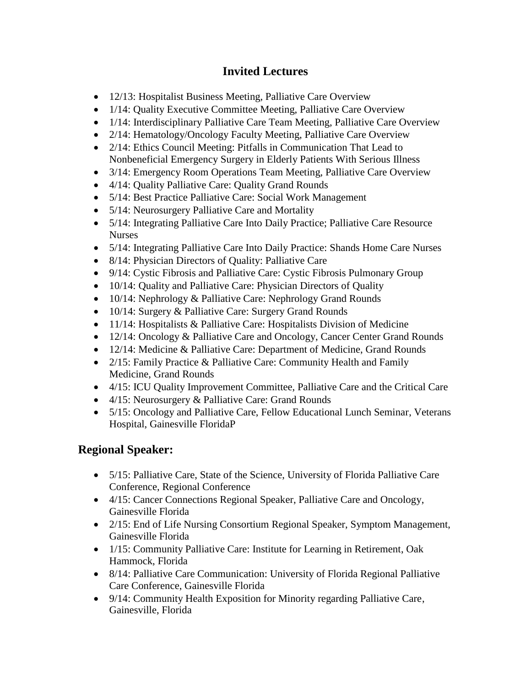# **Invited Lectures**

- 12/13: Hospitalist Business Meeting, Palliative Care Overview
- 1/14: Quality Executive Committee Meeting, Palliative Care Overview
- 1/14: Interdisciplinary Palliative Care Team Meeting, Palliative Care Overview
- 2/14: Hematology/Oncology Faculty Meeting, Palliative Care Overview
- 2/14: Ethics Council Meeting: Pitfalls in Communication That Lead to Nonbeneficial Emergency Surgery in Elderly Patients With Serious Illness
- 3/14: Emergency Room Operations Team Meeting, Palliative Care Overview
- 4/14: Quality Palliative Care: Quality Grand Rounds
- 5/14: Best Practice Palliative Care: Social Work Management
- 5/14: Neurosurgery Palliative Care and Mortality
- 5/14: Integrating Palliative Care Into Daily Practice; Palliative Care Resource Nurses
- 5/14: Integrating Palliative Care Into Daily Practice: Shands Home Care Nurses
- 8/14: Physician Directors of Quality: Palliative Care
- 9/14: Cystic Fibrosis and Palliative Care: Cystic Fibrosis Pulmonary Group
- 10/14: Quality and Palliative Care: Physician Directors of Quality
- 10/14: Nephrology & Palliative Care: Nephrology Grand Rounds
- 10/14: Surgery & Palliative Care: Surgery Grand Rounds
- 11/14: Hospitalists & Palliative Care: Hospitalists Division of Medicine
- 12/14: Oncology & Palliative Care and Oncology, Cancer Center Grand Rounds
- 12/14: Medicine & Palliative Care: Department of Medicine, Grand Rounds
- 2/15: Family Practice & Palliative Care: Community Health and Family Medicine, Grand Rounds
- 4/15: ICU Quality Improvement Committee, Palliative Care and the Critical Care
- 4/15: Neurosurgery & Palliative Care: Grand Rounds
- 5/15: Oncology and Palliative Care, Fellow Educational Lunch Seminar, Veterans Hospital, Gainesville FloridaP

# **Regional Speaker:**

- 5/15: Palliative Care, State of the Science, University of Florida Palliative Care Conference, Regional Conference
- 4/15: Cancer Connections Regional Speaker, Palliative Care and Oncology, Gainesville Florida
- 2/15: End of Life Nursing Consortium Regional Speaker, Symptom Management, Gainesville Florida
- 1/15: Community Palliative Care: Institute for Learning in Retirement, Oak Hammock, Florida
- 8/14: Palliative Care Communication: University of Florida Regional Palliative Care Conference, Gainesville Florida
- 9/14: Community Health Exposition for Minority regarding Palliative Care, Gainesville, Florida